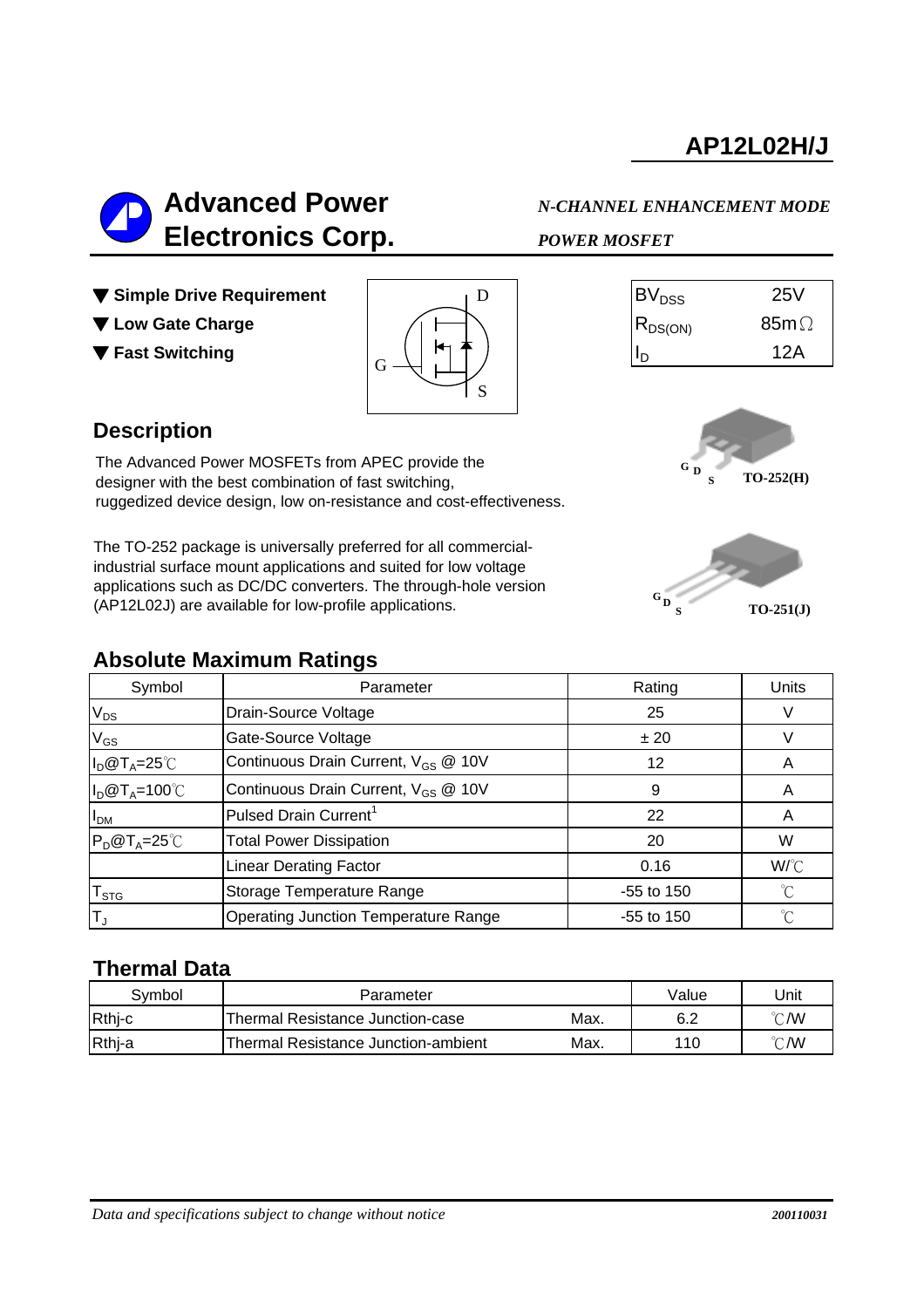

**G D**

- ▼ Simple Drive Requirement
- ▼ Low Gate Charge
- ▼ Fast Switching



| $\mathsf{BV}_{\mathsf{DSS}}$ | 25V          |
|------------------------------|--------------|
| $ R_{DS(ON)} $               | 85m $\Omega$ |
|                              | 12A          |

### **Description**

The Advanced Power MOSFETs from APEC provide the designer with the best combination of fast switching, ruggedized device design, low on-resistance and cost-effectiveness.

The TO-252 package is universally preferred for all commercialindustrial surface mount applications and suited for low voltage applications such as DC/DC converters. The through-hole version (AP12L02J) are available for low-profile applications.

#### **Absolute Maximum Ratings**



**S TO-252(H)**

| Symbol                      | Parameter                                       | Rating       | Units       |
|-----------------------------|-------------------------------------------------|--------------|-------------|
| $V_{DS}$                    | Drain-Source Voltage                            | 25           |             |
| $V_{GS}$                    | Gate-Source Voltage                             | ± 20         |             |
| $I_D@T_A=25°C$              | Continuous Drain Current, V <sub>GS</sub> @ 10V | 12           | A           |
| $I_D@T_A=100°C$             | Continuous Drain Current, V <sub>GS</sub> @ 10V | 9            | A           |
| I <sub>DM</sub>             | Pulsed Drain Current <sup>1</sup>               | 22           | A           |
| $P_D@T_A=25^{\circ}C$       | <b>Total Power Dissipation</b>                  | 20           | W           |
|                             | <b>Linear Derating Factor</b>                   | 0.16         | W/C         |
| $\mathsf{T}_{\texttt{STG}}$ | Storage Temperature Range                       | $-55$ to 150 | $^{\circ}C$ |
| IΤ」                         | <b>Operating Junction Temperature Range</b>     | $-55$ to 150 | °C          |

### **Thermal Data**

| Svmbol | Parameter                           |      | Value | Jnit                    |
|--------|-------------------------------------|------|-------|-------------------------|
| Rthj-c | Thermal Resistance Junction-case    | Max. | 6.2   | °C/W                    |
| Rthj-a | Thermal Resistance Junction-ambient | Max. | 110   | $^{\circ}\mathsf{C}$ /W |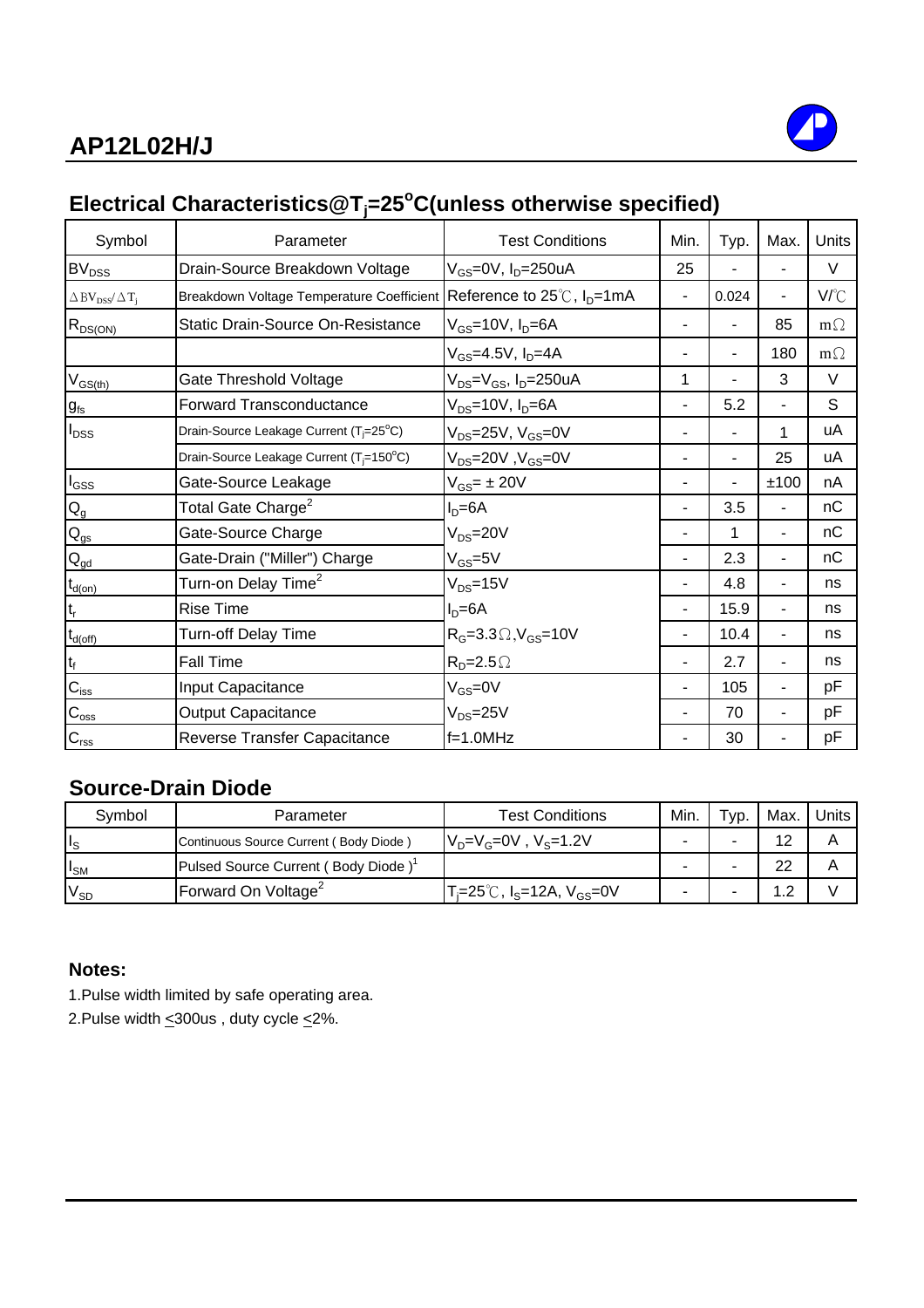

## **Electrical Characteristics@Tj =25<sup>o</sup> C(unless otherwise specified)**

| Symbol                                                     | Parameter                                                                       | <b>Test Conditions</b>                                   | Min.           | Typ.  | Max. | Units     |
|------------------------------------------------------------|---------------------------------------------------------------------------------|----------------------------------------------------------|----------------|-------|------|-----------|
| $BV_{DSS}$                                                 | Drain-Source Breakdown Voltage                                                  | V <sub>GS</sub> =0V, I <sub>D</sub> =250uA               | 25             |       |      | $\vee$    |
| $\triangle$ BV <sub>DSS</sub> / $\triangle$ T <sub>i</sub> | Breakdown Voltage Temperature Coefficient Reference to 25℃, I <sub>D</sub> =1mA |                                                          | $\blacksquare$ | 0.024 | ä,   | V/°C      |
| $R_{DS(ON)}$                                               | <b>Static Drain-Source On-Resistance</b>                                        | $V_{GS}$ =10V, $I_D$ =6A                                 | $\blacksquare$ |       | 85   | $m\Omega$ |
|                                                            |                                                                                 | $V_{GS} = 4.5V, I_D = 4A$                                | ۰              | ٠     | 180  | $m\Omega$ |
| $V_{GS$                                                    | Gate Threshold Voltage                                                          | V <sub>DS</sub> =V <sub>GS</sub> , I <sub>D</sub> =250uA | 1              |       | 3    | $\vee$    |
| $g_{\rm fs}$                                               | <b>Forward Transconductance</b>                                                 | $V_{DS}$ =10V, $I_D$ =6A                                 | ٠              | 5.2   |      | S         |
| $I_{DSS}$                                                  | Drain-Source Leakage Current (T <sub>i</sub> =25°C)                             | $V_{DS}$ =25V, $V_{GS}$ =0V                              |                |       | 1    | uA        |
|                                                            | Drain-Source Leakage Current (T <sub>i</sub> =150°C)                            | $V_{DS}$ =20V, $V_{GS}$ =0V                              |                |       | 25   | uA        |
| $I_{GSS}$                                                  | Gate-Source Leakage                                                             | $V_{GS}$ = ± 20V                                         |                |       | ±100 | nA        |
| $\mathsf{Q}_{\mathsf{g}}$                                  | Total Gate Charge <sup>2</sup>                                                  | $ID=6A$                                                  | ۰              | 3.5   |      | nС        |
| $Q_{gs}$                                                   | Gate-Source Charge                                                              | $V_{DS} = 20V$                                           |                |       |      | nC        |
| $Q_{\underline{gd}}$                                       | Gate-Drain ("Miller") Charge                                                    | $V_{GS} = 5V$                                            |                | 2.3   |      | nC        |
| $t_{d(on)}$                                                | Turn-on Delay Time <sup>2</sup>                                                 | $V_{DS} = 15V$                                           |                | 4.8   |      | ns        |
|                                                            | <b>Rise Time</b>                                                                | $ID=6A$                                                  | $\blacksquare$ | 15.9  |      | ns        |
| $t_{d(off)}$                                               | Turn-off Delay Time                                                             | $R_G = 3.3 \Omega$ , $V_{GS} = 10V$                      | ۰              | 10.4  |      | ns        |
| $t_f$                                                      | <b>Fall Time</b>                                                                | $R_p = 2.5 \Omega$                                       | ٠              | 2.7   |      | ns        |
| $C_{\text{iss}}$                                           | Input Capacitance                                                               | $V_{GS} = 0V$                                            | ۰              | 105   |      | pF        |
| $C_{\rm oss}$                                              | <b>Output Capacitance</b>                                                       | $V_{DS} = 25V$                                           |                | 70    |      | pF        |
| $C_{\text{rss}}$                                           | Reverse Transfer Capacitance                                                    | $f=1.0MHz$                                               |                | 30    |      | pF        |

## **Source-Drain Diode**

| Symbol          | Parameter                              | <b>Test Conditions</b>                                        | Min. | Typ. | Max. | Units |
|-----------------|----------------------------------------|---------------------------------------------------------------|------|------|------|-------|
| Ιs              | Continuous Source Current (Body Diode) | $V_p = V_g = 0V$ , $V_s = 1.2V$                               |      |      | 12   | А     |
| $I_{\text{SM}}$ | Pulsed Source Current (Body Diode)     |                                                               |      |      | 22   |       |
| $V_{SD}$        | Forward On Voltage <sup>2</sup>        | $T_i = 25^\circ C$ , I <sub>S</sub> =12A, V <sub>GS</sub> =0V |      |      | 1.2  |       |

### **Notes:**

1.Pulse width limited by safe operating area.

2.Pulse width  $\leq$  300us, duty cycle  $\leq$  2%.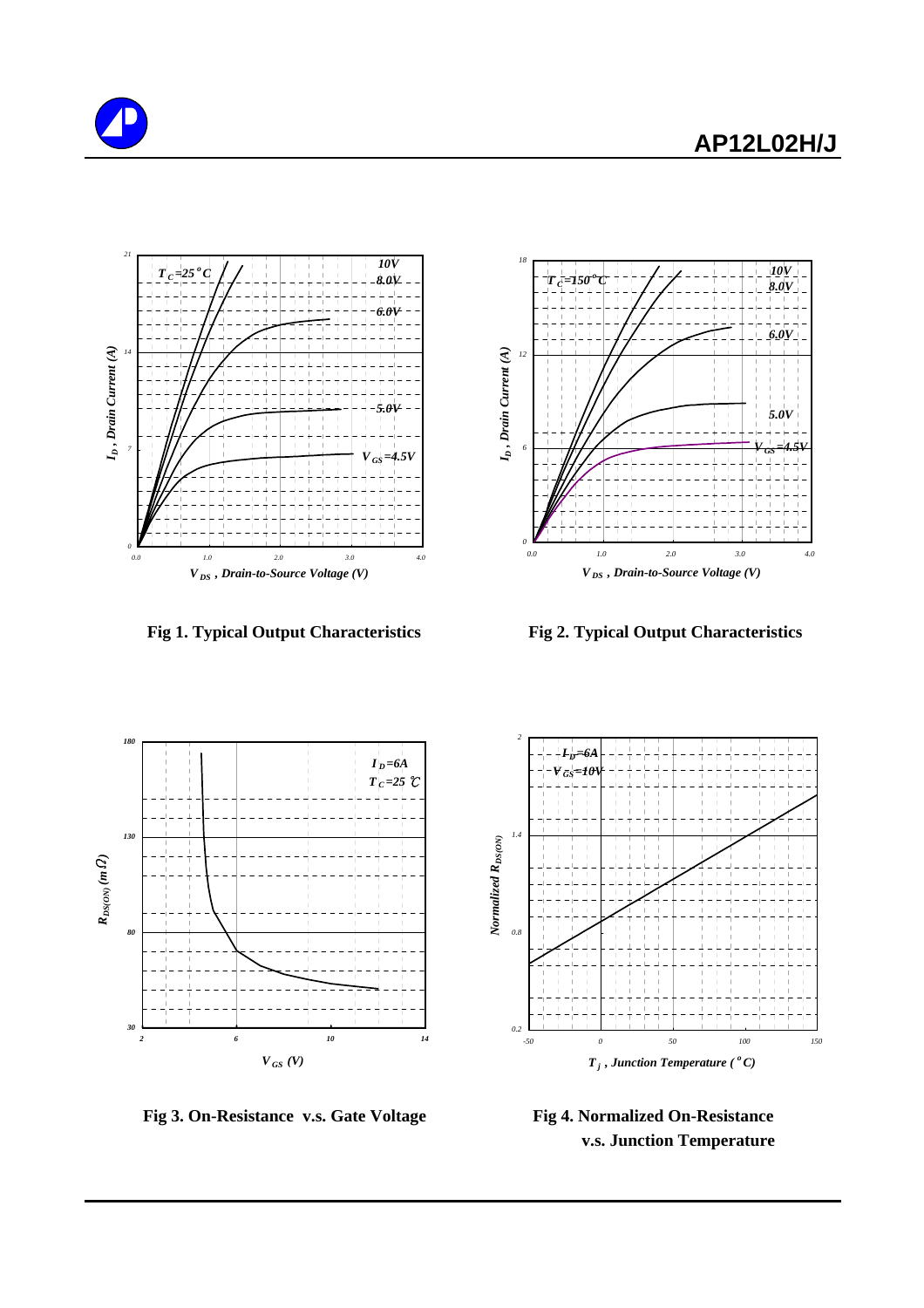

*RDS(ON) (m*

Ω*)*



 **Fig 1. Typical Output Characteristics Fig 2. Typical Output Characteristics**





 **Fig 3. On-Resistance v.s. Gate Voltage Fig 4. Normalized On-Resistance**

 **v.s. Junction Temperature**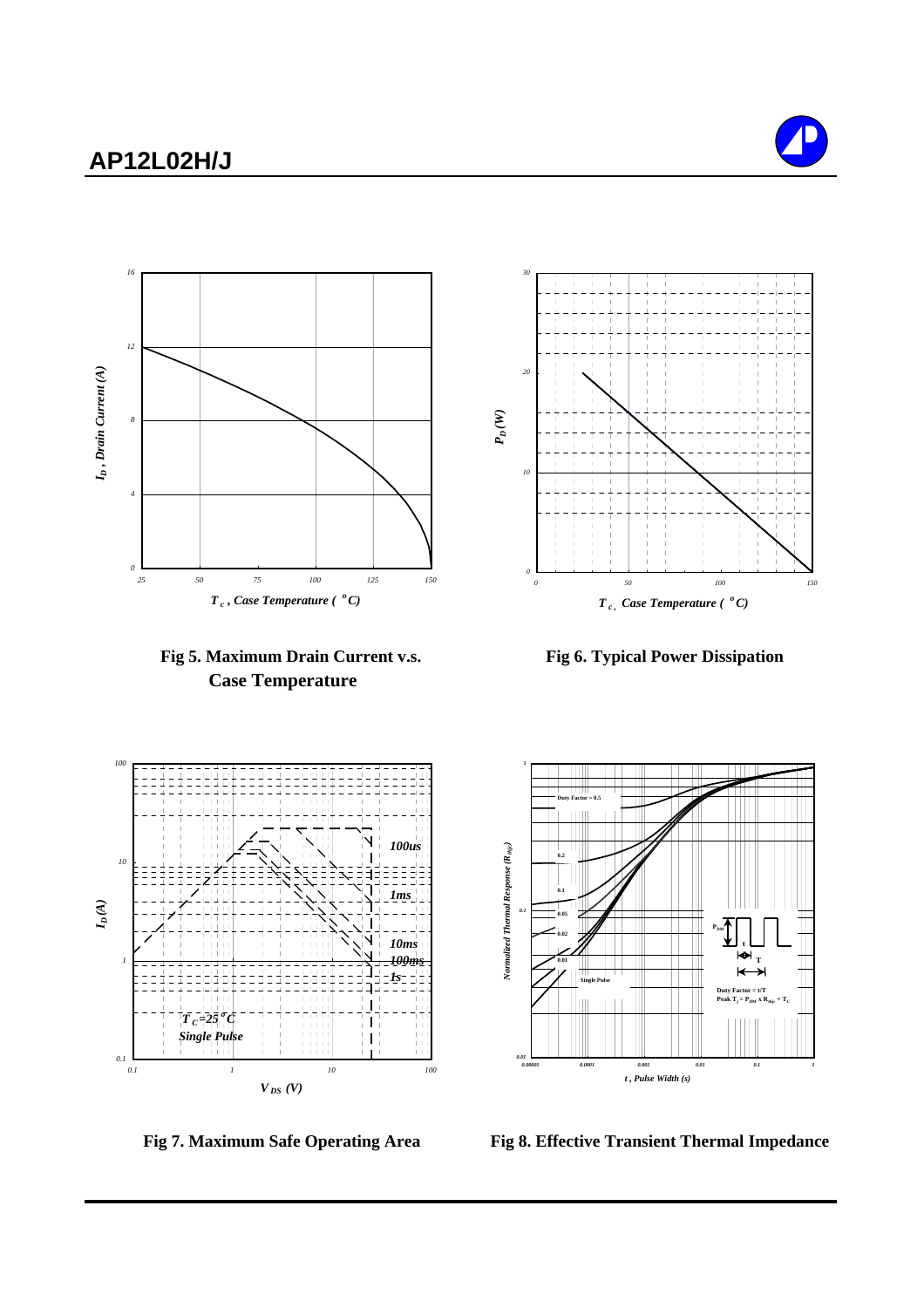











Fig 7. Maximum Safe Operating Area Fig 8. Effective Transient Thermal Impedance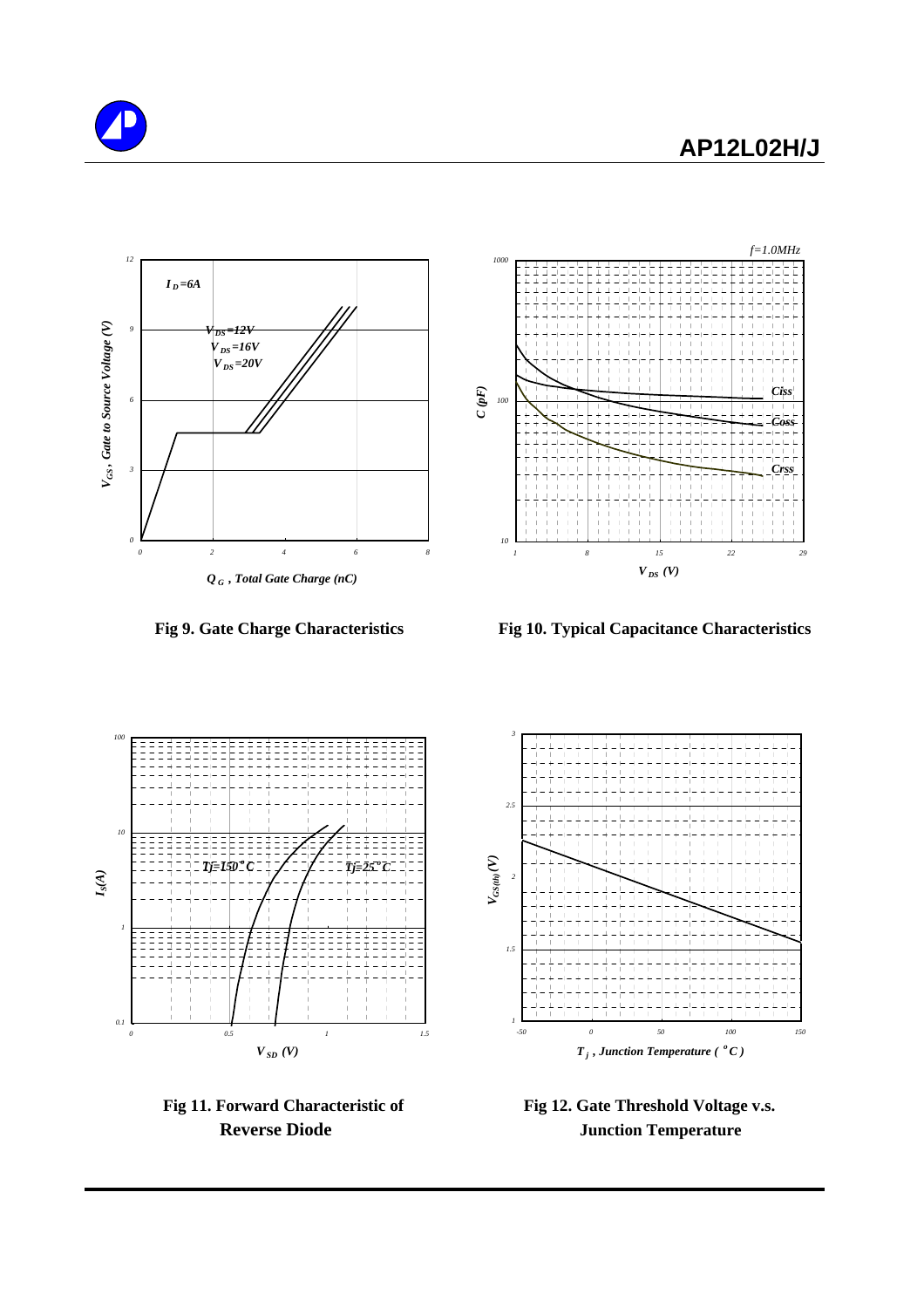





 **Fig 9. Gate Charge Characteristics Fig 10. Typical Capacitance Characteristics**





Fig 11. Forward Characteristic of Fig 12. Gate Threshold Voltage v.s. **Reverse Diode Junction Temperature**